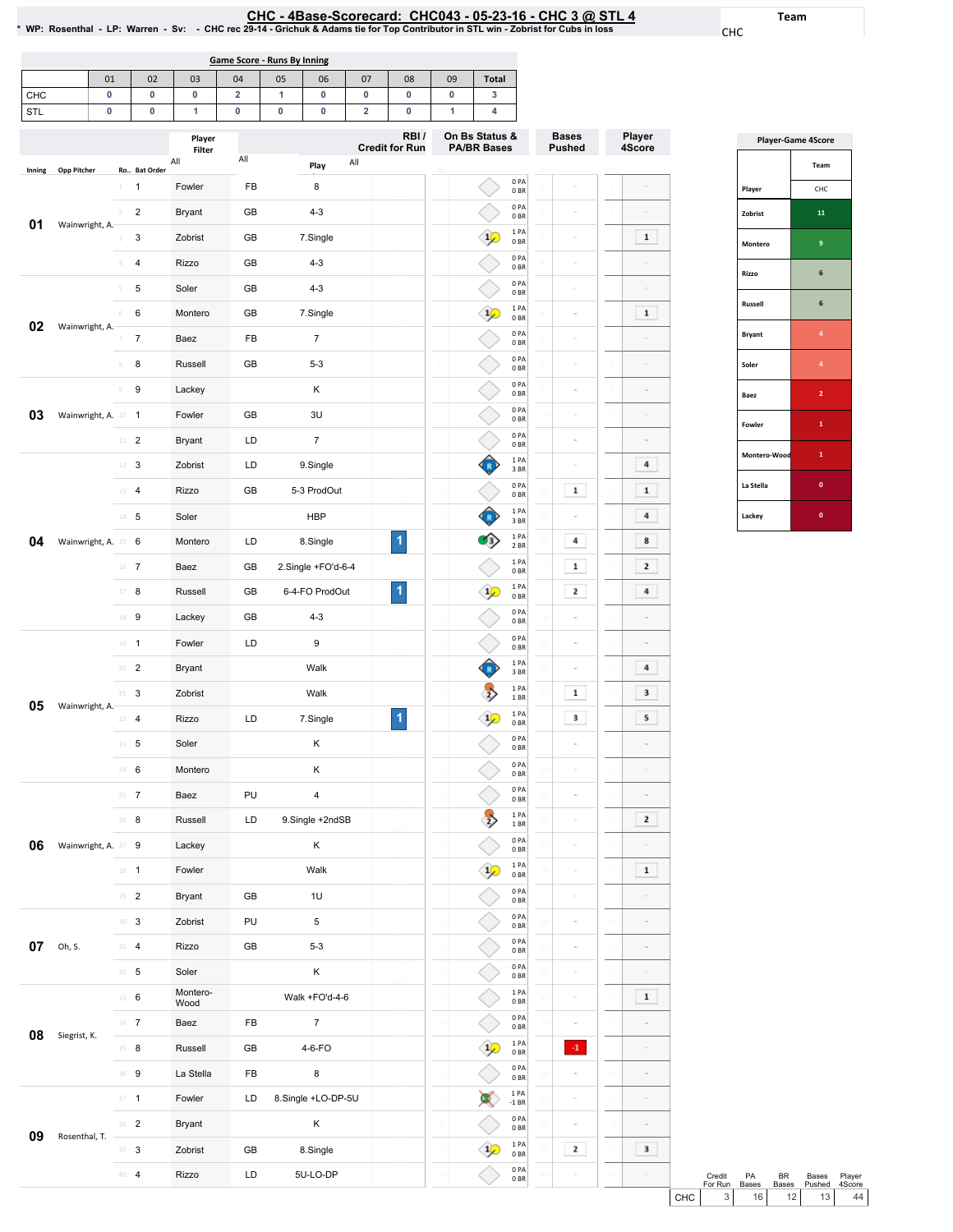<u>CHC - 4Base-Scorecard: CHC043 - 05-23-16 - CHC 3 @ STL 4</u><br>WP: Rosenthal - LP: Warren - Sv: - CHC rec 29-14 - Grichuk & Adams tie for Top Contributor in STL win - Zobrist for Cubs in loss \*

CHC

Team

|                                                                                                  | Game Score - Runs By Inning                                        |   |  |  |  |   |  |   |  |  |  |  |  |  |
|--------------------------------------------------------------------------------------------------|--------------------------------------------------------------------|---|--|--|--|---|--|---|--|--|--|--|--|--|
|                                                                                                  | <b>Total</b><br>02<br>06<br>09<br>03<br>04<br>05<br>07<br>08<br>01 |   |  |  |  |   |  |   |  |  |  |  |  |  |
| <b>CHC</b>                                                                                       |                                                                    | 0 |  |  |  |   |  | 0 |  |  |  |  |  |  |
| STL                                                                                              |                                                                    | 0 |  |  |  | c |  | 0 |  |  |  |  |  |  |
| On Bs Status &<br>RBI/<br>Player<br><b>Cradit for Run</b><br><b>PA/RR Racos</b><br>matter of the |                                                                    |   |  |  |  |   |  |   |  |  |  |  |  |  |

|        |                     |                               |                         | Player<br>Filter |          |                    | RBI/<br><b>Credit for Run</b> | On Bs Status &<br><b>PA/BR Bases</b> |                         | <b>Bases</b><br><b>Pushed</b> |                | Player<br>4Score |
|--------|---------------------|-------------------------------|-------------------------|------------------|----------|--------------------|-------------------------------|--------------------------------------|-------------------------|-------------------------------|----------------|------------------|
| Inning | <b>Opp Pitcher</b>  |                               | Ro Bat Order            | All              | All      | All<br>Play        |                               |                                      |                         |                               |                |                  |
|        |                     | $\perp$                       | 1                       | Fowler           | FB       | 8                  |                               |                                      | 0PA<br>0BR              | ä                             |                | $\overline{a}$   |
|        |                     | $\overline{2}$                | $\boldsymbol{2}$        | <b>Bryant</b>    | GB       | $4 - 3$            |                               |                                      | 0PA<br>0 <sub>BR</sub>  | ä                             |                | $\equiv$         |
| 01     | Wainwright, A.      | 3                             | 3                       | Zobrist          | GB       | 7.Single           |                               | $\frac{1}{2}$                        | 1 PA<br>0 BR            | ä                             |                | $\mathbf 1$      |
|        |                     | 4                             | 4                       | Rizzo            | GB       | $4 - 3$            |                               |                                      | 0PA<br>0 <sub>BR</sub>  |                               |                |                  |
|        |                     | 5                             | 5                       | Soler            | GB       | $4 - 3$            |                               |                                      | 0PA<br>0BR              | ä                             |                | $\overline{a}$   |
|        |                     | 6                             | 6                       | Montero          | GB       | 7.Single           |                               | $\frac{1}{2}$                        | 1 PA<br>0 <sub>BR</sub> |                               |                | $\mathbf 1$      |
| 02     | Wainwright, A.      | 7                             | $\overline{7}$          | Baez             | FB       | 7                  |                               |                                      | 0PA<br>0B               | ä                             |                | $\overline{a}$   |
|        |                     | 8                             | 8                       | Russell          | GB       | $5 - 3$            |                               |                                      | 0 PA<br>0 <sub>BR</sub> | ä                             |                | $\sim$           |
|        |                     | $\mathcal G$                  | 9                       | Lackey           |          | Κ                  |                               |                                      | 0PA<br>0 <sub>BR</sub>  | ä                             |                | $\overline{a}$   |
| 03     | Wainwright, A. 10 1 |                               |                         | Fowler           | GB       | 3U                 |                               | $\overline{1}$                       | 0PA<br>0BR              | ä                             |                | $\overline{a}$   |
|        |                     | 11                            | $\overline{\mathbf{c}}$ | <b>Bryant</b>    | LD       | $\overline{7}$     |                               |                                      | 0PA<br>0BR              |                               |                |                  |
|        |                     | 12                            | 3                       | Zobrist          | LD       | 9.Single           |                               |                                      | 1PA<br>3 BR             | ś                             |                | 4                |
|        |                     | 13                            | 4                       | Rizzo            | GB       | 5-3 ProdOut        |                               |                                      | 0 PA<br>0BR             | $\mathbf 1$                   |                | $\mathbf 1$      |
|        |                     | $14 -$                        | 5                       | Soler            |          | <b>HBP</b>         |                               |                                      | 1PA<br>3 BR             |                               |                | 4                |
| 04     | Wainwright, A. 15 6 |                               |                         | Montero          | LD       | 8.Single           | 1                             |                                      | 1 PA<br>2 BR            | 4                             |                | 8                |
|        |                     | $16$ 7                        |                         | Baez             | GB       | 2.Single +FO'd-6-4 |                               | $\mathbf{1}$                         | 1 PA<br>0 <sub>BR</sub> | $\mathbf{1}$                  |                | $\mathbf 2$      |
|        |                     | $17\,$                        | 8                       | Russell          | GB       | 6-4-FO ProdOut     | 1                             | $1\sqrt{ }$                          | 1PA<br>0 <sub>BR</sub>  | $\mathbf{2}$                  |                | 4                |
|        |                     | 18                            | 9                       | Lackey           | GB       | $4 - 3$            |                               |                                      | 0PA<br>0 <sub>BR</sub>  |                               |                |                  |
|        |                     | $19 - 1$                      |                         | Fowler           | LD       | 9                  |                               |                                      | 0PA<br>0BR              | ä                             |                | $\overline{a}$   |
|        |                     | $20 - 2$                      |                         | <b>Bryant</b>    |          | Walk               |                               |                                      | 1PA<br>3 BR             | ä                             |                | 4                |
|        |                     | 21                            | 3                       | Zobrist          |          | Walk               |                               | $\sum_{i=1}^{n}$                     | 1PA<br>1BR              | $\mathbf 1$                   | 21             | 3                |
| 05     | Wainwright, A.      | 22                            | $\overline{4}$          | Rizzo            | LD       | 7.Single           | 1                             |                                      | 1 PA<br>0 <sub>BR</sub> | 3                             |                | 5                |
|        |                     | $23 - 5$                      |                         | Soler            |          | Κ                  |                               | 23                                   | 0PA<br>0 <sub>BR</sub>  | ä                             |                | $\alpha$         |
|        |                     | 24 6                          |                         | Montero          |          | Κ                  |                               |                                      | 0 PA<br>0BR             | ä                             |                | $\overline{a}$   |
|        |                     | 25                            | $\overline{7}$          | Baez             | PU       | 4                  |                               |                                      | 0PA<br>0 <sub>BR</sub>  |                               |                | $\overline{a}$   |
|        |                     | 26                            | 8                       | Russell          | LD       | 9.Single +2ndSB    |                               | $\frac{1}{2}$                        | 1PA<br>1 BR             |                               |                | $\mathbf 2$      |
| 06     | Wainwright, A. 27 9 |                               |                         | Lackey           |          | Κ                  |                               |                                      | 0PA<br>0B               |                               |                | $\sim$           |
|        |                     | $28 - 1$                      |                         | Fowler           |          | Walk               |                               |                                      | 1PA<br>0BR              | ä                             | 28             | $\mathbf{1}$     |
|        |                     | 29                            | $\sqrt{2}$              | <b>Bryant</b>    | GB       | 1U                 |                               |                                      | 0 PA<br>0B              | ä                             |                | $\bar{a}$        |
|        |                     | $\mathbb{B}^0$ – $\mathbf{3}$ |                         | Zobrist          | PU       | 5                  |                               | 30                                   | 0PA<br>0BR              | ä                             | 30             | $\alpha$         |
| 07     | Oh, S.              | $31 - 4$                      |                         | Rizzo            | GB       | $5 - 3$            |                               | 31                                   | 0PA<br>0B               | ÷                             |                | $\frac{1}{2}$    |
|        |                     | $32 - 5$                      |                         | Soler            |          | Κ                  |                               |                                      | 0PA<br>0 <sub>BR</sub>  | ċ                             |                | $\frac{1}{2}$    |
|        |                     | 33 6                          |                         | Montero-<br>Wood |          | Walk +FO'd-4-6     |                               |                                      | 1PA<br>0B               | ċ                             |                | $\mathbf 1$      |
| 08     | Siegrist, K.        | $34 \t 7$                     |                         | Baez             | FB       | $\overline{7}$     |                               |                                      | 0PA<br>0 BR             | ä                             |                | $\bar{a}$        |
|        |                     | $35 - 8$                      |                         | Russell          | GB       | 4-6-FO             |                               | $\frac{1}{2}$                        | 1PA<br>0BR              | $\cdot 1$                     | 35             | $\frac{1}{2}$    |
|        |                     | 36                            | 9                       | La Stella        | FB       | 8                  |                               |                                      | 0PA<br>0B               | ë                             | 36             | $\frac{1}{2}$    |
|        |                     | $37 - 1$                      |                         | Fowler           | LD       | 8.Single +LO-DP-5U |                               |                                      | 1 PA<br>$-1$ BR         | ÷                             | з              | $\sim$           |
| 09     | Rosenthal, T.       | 38 2                          |                         | <b>Bryant</b>    |          | Κ                  |                               |                                      | 0PA<br>0BR              | ċ                             | 31             | $\frac{1}{2}$    |
|        |                     | 39 3                          |                         | Zobrist          | GB       | 8.Single           |                               |                                      | 1PA<br>0 <sub>BR</sub>  | 2                             | 39             | 3                |
|        | $40-4$              |                               | Rizzo                   | LD               | 5U-LO-DP |                    |                               | 0 PA<br>0 BR                         |                         | 40                            | $\overline{a}$ |                  |

| <b>Player-Game 4Score</b> |                |  |  |  |  |  |  |  |
|---------------------------|----------------|--|--|--|--|--|--|--|
|                           | Team           |  |  |  |  |  |  |  |
| Player                    | CHC            |  |  |  |  |  |  |  |
| Zobrist                   | 11             |  |  |  |  |  |  |  |
| Montero                   | 9              |  |  |  |  |  |  |  |
| Rizzo                     | 6              |  |  |  |  |  |  |  |
| Russell                   | 6              |  |  |  |  |  |  |  |
| <b>Bryant</b>             | 4              |  |  |  |  |  |  |  |
| Soler                     | 4              |  |  |  |  |  |  |  |
| Baez                      | $\overline{2}$ |  |  |  |  |  |  |  |
| Fowler                    | 1              |  |  |  |  |  |  |  |
| Montero-Wood              | 1              |  |  |  |  |  |  |  |
| La Stella                 | $\mathbf{0}$   |  |  |  |  |  |  |  |
| Lackey                    | $\bf{0}$       |  |  |  |  |  |  |  |

|       | Credit<br>For Run | <b>PA</b><br><b>Bases</b> | RR<br><b>Bases</b> | Bases<br>Pushed 4Score | Plaver |
|-------|-------------------|---------------------------|--------------------|------------------------|--------|
| CHC I | $\overline{3}$    | 16                        | 12                 | 13 <sup>1</sup>        | 44     |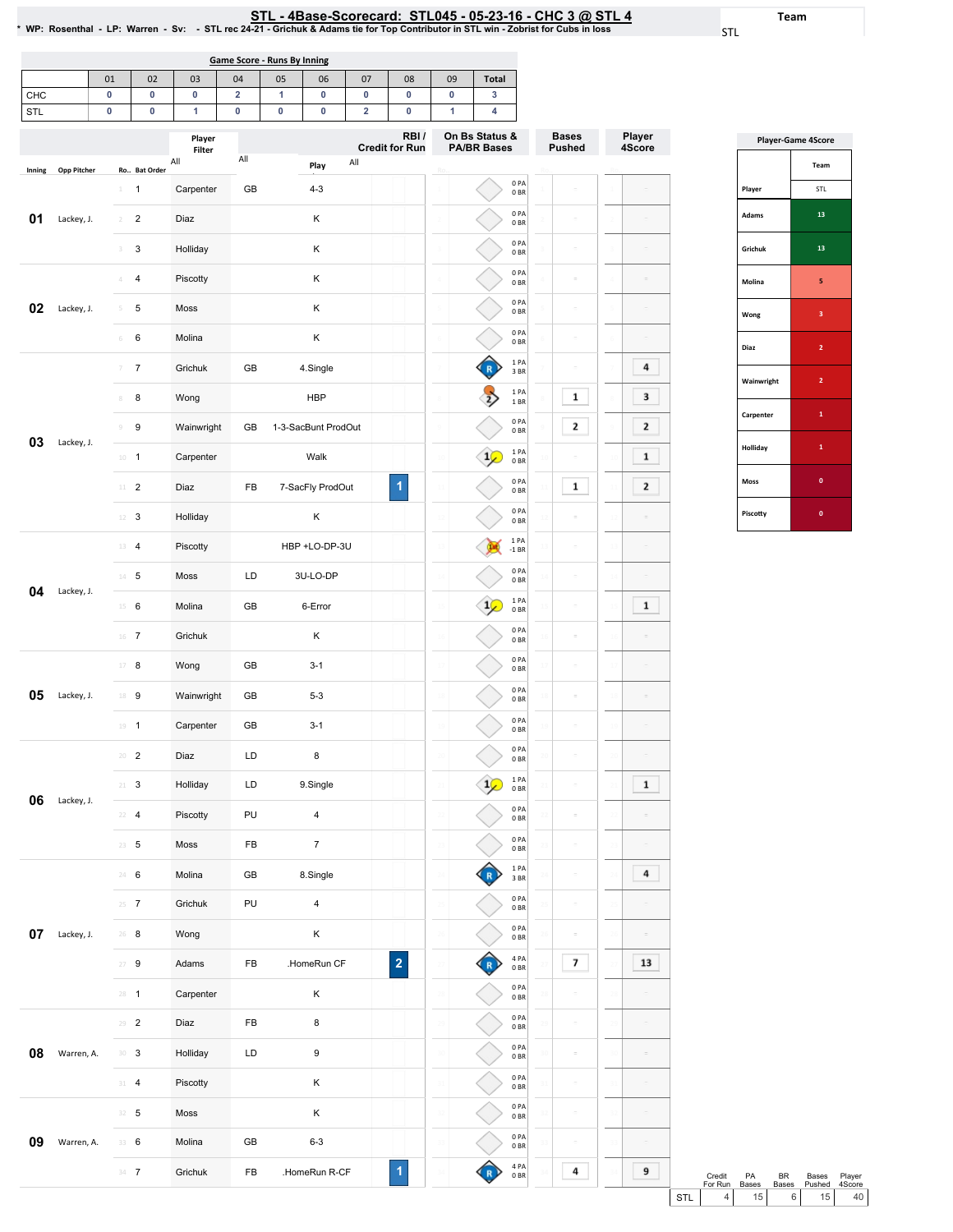0PA 0BR 0PA 0BR 0PA 0BR 0PA 0BR 1PA 3BR 1PA 1BR 0PA 0BR 1PA 0BR 0PA 0BR 0PA 0BR 1PA -1BR 0PA 0BR 1PA 0BR 0PA 0BR 0PA 0BR 0PA 0BR 0PA 0BR 0PA 0BR 1PA 0BR 0PA 0BR 0PA 0BR  $\frac{1 \text{ PA}}{3 \text{ BR}}$ 

 $\begin{array}{c}\n\bullet \\
\bullet \\
\bullet\n\end{array}$ 

 $\rightarrow$ 

 $\bigcirc$ 

K

 $\bigcirc$ 

 $\bigcirc$ 

R

Bases Pushed

 $\equiv$ 

 $\sim$ 

 $\bar{\phantom{a}}$ 

 $\mathbf 1$ 

 $\mathbf 2$ 

ö  $\mathbf 1$ 

 $\bar{\phantom{a}}$ 

 $\bar{\varepsilon}$ 

 $\bar{\omega}$ 

 $\sim$ 

 $\bar{\omega}$ 

 $\equiv$ 

Ro..

Player 4Score

 $\bf{4}$ 

 $\mathbf{3}$ 

 $\mathbf{2}$ 

 $\mathbf 1$ 

 $\mathbf{2}$ 

 $\mathbf 1$ 

 $\overline{1}$ 

 $\bf{4}$ 

<u>STL - 4Base-Scorecard: STL045 - 05-23-16 - CHC 3 @ STL 4</u><br>WP: Rosenthal - LP: Warren - Sv: - STL rec 24-21 - Grichuk & Adams tie for Top Contributor in STL win - Zobrist for Cubs in loss \*

STL

Team

|                              | Game Score - Runs By Inning |                |                         |                |    |         |                |                               |                |                                      |  |  |  |  |
|------------------------------|-----------------------------|----------------|-------------------------|----------------|----|---------|----------------|-------------------------------|----------------|--------------------------------------|--|--|--|--|
|                              | 01                          | 02             | 03                      | 04             | 05 | 06      | 07             | 08                            | 09             | <b>Total</b>                         |  |  |  |  |
| CHC                          | 0                           | 0              | $\mathbf 0$             | $\overline{2}$ | 1  | 0       | 0              | 0                             | 0              | 3                                    |  |  |  |  |
| STL                          | 0                           | 0              | 1                       | 0              | 0  | 0       | $\overline{2}$ | $\mathbf{0}$                  |                | 4                                    |  |  |  |  |
| <b>Opp Pitcher</b><br>Inning |                             | Ro., Bat Order | Player<br>Filter<br>All | All            |    | Play    | All            | RBI/<br><b>Credit for Run</b> | Ro             | On Bs Status &<br><b>PA/BR Bases</b> |  |  |  |  |
|                              | $\mathbf{1}$                | 1              | Carpenter               | <b>GB</b>      |    | $4 - 3$ |                |                               | 1              | 0PA<br>0 <sub>BR</sub>               |  |  |  |  |
| 01<br>Lackey, J.             | $\overline{2}$              | $\overline{2}$ | Diaz                    |                |    | K       |                |                               | $\overline{2}$ | 0PA<br>0 <sub>BR</sub>               |  |  |  |  |

3 3 Holliday K

4 4 Piscotty K  $5$  5 Moss K 6 6 Molina K

7 7 Grichuk GB 4.Single 8 8 Wong MBP

10 1 Carpenter Walk

12 3 Holliday K

15 6 Molina GB 6-Error 16 7 Grichuk K

17 8 Wong GB 3-1

18 9 Wainwright GB 5-3 19 **1 Carpenter GB** 3-1

 2 Diaz LD 8 3 Holliday LD 9.Single 4 Piscotty PU 4 5 Moss FB 7

24 6 Molina GB 8.Single 25 7 Grichuk PU 4 26 8 Wong K

9 9 Wainwright GB 1-3-SacBunt ProdOut

11 2 Diaz FB 7-SacFly ProdOut

13 4 Piscotty HBP+LO-DP-3U 14 5 Moss LD 3U-LO-DP

02 Lackey, J.

**03** Lackey, J.

04 Lackey, J.

05 Lackey, J.

O6 Lackey, J.

**07** Lackey, J.

08 Warren, A.

**09** Warren, A. 33 6

| <b>Player-Game 4Score</b> |                |  |  |  |  |  |  |  |
|---------------------------|----------------|--|--|--|--|--|--|--|
|                           | Team           |  |  |  |  |  |  |  |
| Player                    | STL            |  |  |  |  |  |  |  |
| <b>Adams</b>              | 13             |  |  |  |  |  |  |  |
| Grichuk                   | 13             |  |  |  |  |  |  |  |
| Molina                    | 5              |  |  |  |  |  |  |  |
| Wong                      | 3              |  |  |  |  |  |  |  |
| Diaz                      | $\overline{2}$ |  |  |  |  |  |  |  |
| Wainwright                | $\overline{2}$ |  |  |  |  |  |  |  |
| Carpenter                 | $\mathbf{1}$   |  |  |  |  |  |  |  |
| Holliday                  | 1              |  |  |  |  |  |  |  |
| <b>Moss</b>               | $\mathbf{0}$   |  |  |  |  |  |  |  |
| Piscotty                  | O              |  |  |  |  |  |  |  |

| $25 - 7$ | Grichuk   | PU        | $\overline{4}$   |             |     | 0 PA<br>0 B R          |    | $\sim$         | 25   | $\equiv$ |            |                   |             |  |
|----------|-----------|-----------|------------------|-------------|-----|------------------------|----|----------------|------|----------|------------|-------------------|-------------|--|
| $26 - 8$ | Wong      |           | К                |             | 26  | 0PA<br>0 B R           | 26 | $\sim$         | 26   | $\equiv$ |            |                   |             |  |
| $27 - 9$ | Adams     | <b>FB</b> | .HomeRun CF      | $\mathbf 2$ |     | 4 PA<br>0 B R          |    | $\overline{7}$ |      | 13       |            |                   |             |  |
| $28 - 1$ | Carpenter |           | К                |             | -28 | 0PA<br>0 B R           | 28 | $\sim$         | 28   | $\equiv$ |            |                   |             |  |
| $29 - 2$ | Diaz      | FB        | 8                |             | 79  | 0PA<br>0 <sub>BR</sub> |    | $\sim$         | - 29 | $\equiv$ |            |                   |             |  |
| $30-3$   | Holliday  | LD        | $\boldsymbol{9}$ |             | 30  | 0PA<br>0 <sub>BR</sub> | 30 | $\sim$         | 30   | $\equiv$ |            |                   |             |  |
| 31 4     | Piscotty  |           | К                |             |     | 0PA<br>0 <sub>BR</sub> |    | $\sim$         | 31   | $\equiv$ |            |                   |             |  |
| $32 - 5$ | Moss      |           | К                |             |     | 0PA<br>0 B R           | スウ | $\sim$         | -32  | $\sim$   |            |                   |             |  |
| 33 6     | Molina    | GB        | $6 - 3$          |             |     | 0PA<br>0 <sub>BR</sub> |    | $\sim$         | 33   | $\sim$   |            |                   |             |  |
| $34 \t7$ | Grichuk   | <b>FB</b> | .HomeRun R-CF    | 1           |     | 4PA<br>0 B R           |    | 4              | 34   | 9        |            | Credit<br>For Run | PA<br>Bases |  |
|          |           |           |                  |             |     |                        |    |                |      |          | <b>STL</b> | 4                 | 15          |  |

|            | Credit<br>For Run | <b>PA</b><br><b>Bases</b> | RR. | Bases<br>Bases Pushed 4Score | Plaver          |
|------------|-------------------|---------------------------|-----|------------------------------|-----------------|
| <b>STL</b> | 4 I               | 15 <sup>1</sup>           | 6 I | 15 <sup>1</sup>              | 40 <sup>1</sup> |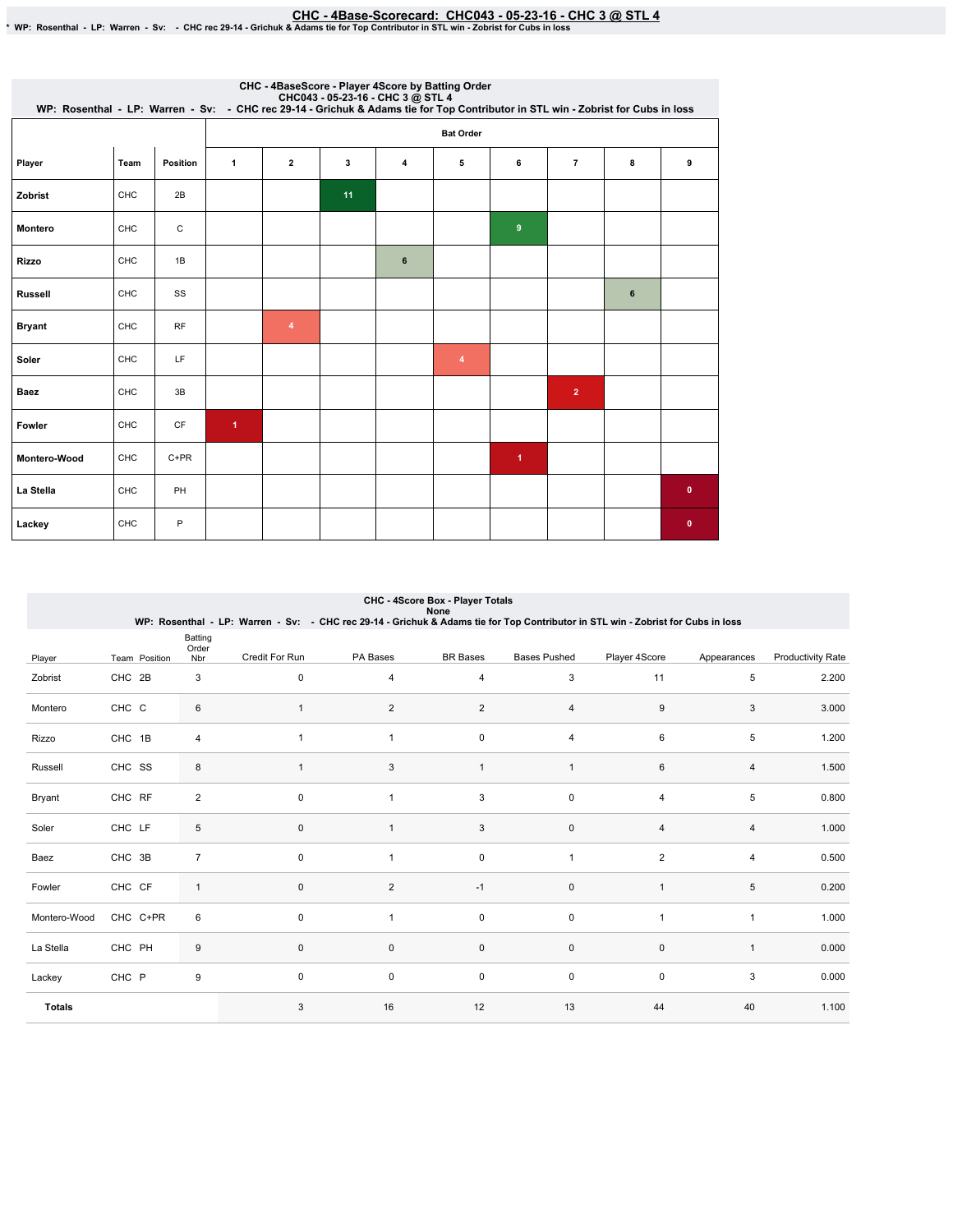EHC - 4Base-Scorecard: CHC043 - 05-23-16 - CHC 3 @ STL 4 \* & "CHC043-15-23-16" - CHC3<br>\* WP: Rosenthal - LP: Warren - Sv: - CHC rec 29-14 - Grichuk & Adams tie for Top Contributor in STL win - Zobrist for Cubs in loss

| CHC - 4BaseScore - Player 4Score by Batting Order<br>CHC043 - 05-23-16 - CHC 3 @ STL 4<br>WP: Rosenthal - LP: Warren - Sv: - CHC rec 29-14 - Grichuk & Adams tie for Top Contributor in STL win - Zobrist for Cubs in loss |      |              |                      |                |    |   |                |                      |                |   |           |  |  |
|----------------------------------------------------------------------------------------------------------------------------------------------------------------------------------------------------------------------------|------|--------------|----------------------|----------------|----|---|----------------|----------------------|----------------|---|-----------|--|--|
|                                                                                                                                                                                                                            |      |              | <b>Bat Order</b>     |                |    |   |                |                      |                |   |           |  |  |
| Player                                                                                                                                                                                                                     | Team | Position     | $\mathbf{1}$         | $\overline{2}$ | 3  | 4 | 5              | 6                    | $\overline{7}$ | 8 | 9         |  |  |
| Zobrist                                                                                                                                                                                                                    | CHC  | 2B           |                      |                | 11 |   |                |                      |                |   |           |  |  |
| <b>Montero</b>                                                                                                                                                                                                             | CHC  | $\mathtt{C}$ |                      |                |    |   |                | 9                    |                |   |           |  |  |
| <b>Rizzo</b>                                                                                                                                                                                                               | CHC  | 1B           |                      |                |    | 6 |                |                      |                |   |           |  |  |
| <b>Russell</b>                                                                                                                                                                                                             | CHC  | SS           |                      |                |    |   |                |                      |                | 6 |           |  |  |
| <b>Bryant</b>                                                                                                                                                                                                              | CHC  | <b>RF</b>    |                      | $\overline{4}$ |    |   |                |                      |                |   |           |  |  |
| Soler                                                                                                                                                                                                                      | CHC  | LF           |                      |                |    |   | $\overline{4}$ |                      |                |   |           |  |  |
| <b>Baez</b>                                                                                                                                                                                                                | CHC  | 3B           |                      |                |    |   |                |                      | $\overline{2}$ |   |           |  |  |
| Fowler                                                                                                                                                                                                                     | CHC  | <b>CF</b>    | $\blacktriangleleft$ |                |    |   |                |                      |                |   |           |  |  |
| Montero-Wood                                                                                                                                                                                                               | CHC  | $C+PR$       |                      |                |    |   |                | $\blacktriangleleft$ |                |   |           |  |  |
| La Stella                                                                                                                                                                                                                  | CHC  | PH           |                      |                |    |   |                |                      |                |   | $\pmb{0}$ |  |  |
| Lackey                                                                                                                                                                                                                     | CHC  | P            |                      |                |    |   |                |                      |                |   | $\bf{0}$  |  |  |

| <b>CHC - 4Score Box - Player Totals</b> |  |
|-----------------------------------------|--|
| None                                    |  |

|               |        |               |                         | WP: Rosenthal - LP: Warren - Sv: - CHC rec 29-14 - Grichuk & Adams tie for Top Contributor in STL win - Zobrist for Cubs in loss |                         | RUIE            |                     |                     |              |                          |
|---------------|--------|---------------|-------------------------|----------------------------------------------------------------------------------------------------------------------------------|-------------------------|-----------------|---------------------|---------------------|--------------|--------------------------|
| Player        |        | Team Position | Batting<br>Order<br>Nbr | Credit For Run                                                                                                                   | PA Bases                | <b>BR</b> Bases | <b>Bases Pushed</b> | Player 4Score       | Appearances  | <b>Productivity Rate</b> |
| Zobrist       | CHC 2B |               | 3                       | 0                                                                                                                                | 4                       | 4               | 3                   | 11                  | 5            | 2.200                    |
| Montero       | CHC C  |               | 6                       |                                                                                                                                  | $\overline{\mathbf{c}}$ | $\overline{c}$  | 4                   | 9                   | 3            | 3.000                    |
| Rizzo         | CHC 1B |               | 4                       |                                                                                                                                  | $\mathbf{1}$            | 0               | 4                   | 6                   | 5            | 1.200                    |
| Russell       | CHC SS |               | 8                       | 1                                                                                                                                | 3                       | $\mathbf{1}$    | $\mathbf{1}$        | 6                   | 4            | 1.500                    |
| Bryant        | CHC RF |               | $\overline{2}$          | 0                                                                                                                                | 1                       | 3               | 0                   | $\overline{4}$      | 5            | 0.800                    |
| Soler         | CHC LF |               | 5                       | 0                                                                                                                                | $\mathbf{1}$            | 3               | $\pmb{0}$           | $\overline{4}$      | 4            | 1.000                    |
| Baez          | CHC 3B |               | $\overline{7}$          | 0                                                                                                                                | 1                       | 0               | 1                   | $\overline{2}$      | 4            | 0.500                    |
| Fowler        | CHC CF |               | $\mathbf{1}$            | 0                                                                                                                                | $\overline{2}$          | $-1$            | $\mathbf 0$         | $\mathbf{1}$        | 5            | 0.200                    |
| Montero-Wood  |        | CHC C+PR      | 6                       | 0                                                                                                                                | 1                       | $\pmb{0}$       | $\mathbf 0$         | $\mathbf{1}$        | $\mathbf{1}$ | 1.000                    |
| La Stella     | CHC PH |               | 9                       | 0                                                                                                                                | 0                       | $\mathsf 0$     | $\mathsf{O}\xspace$ | $\mathsf{O}\xspace$ | $\mathbf{1}$ | 0.000                    |
| Lackey        | CHC P  |               | 9                       | 0                                                                                                                                | 0                       | $\pmb{0}$       | $\pmb{0}$           | $\mathbf 0$         | 3            | 0.000                    |
| <b>Totals</b> |        |               |                         | 3                                                                                                                                | 16                      | 12              | 13                  | 44                  | 40           | 1.100                    |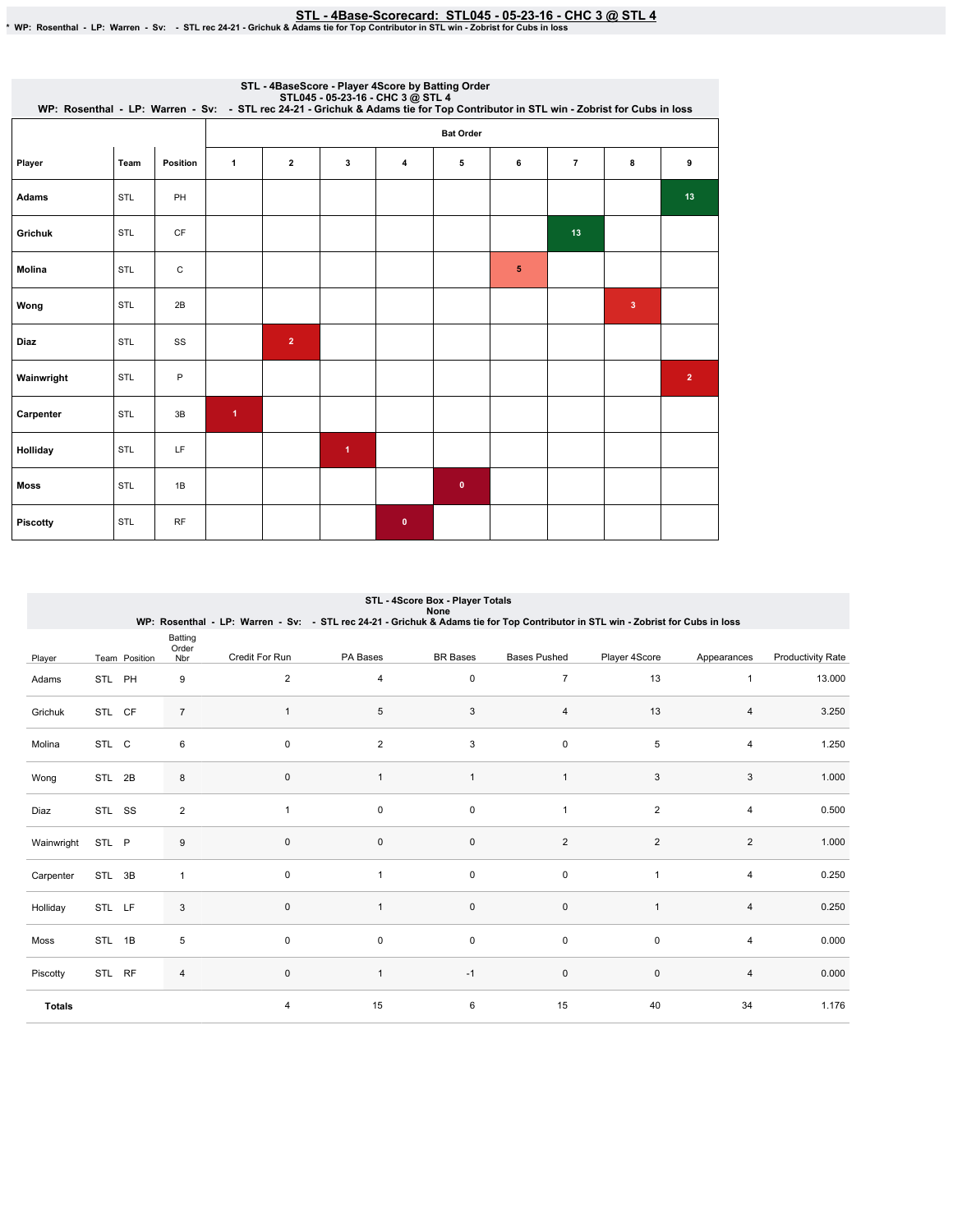STL-4Base-Scorecard:STL045-05-23-16-CHC3@ STL4 \*WP:Rosenthal-LP:Warren-Sv: -STLrec24-21-Grichuk&AdamstieforTopContributorinSTLwin-ZobristforCubsinloss

| STL - 4BaseScore - Player 4Score by Batting Order<br>STL045 - 05-23-16 - CHC 3 @ STL 4<br>WP: Rosenthal - LP: Warren - Sv: - STL rec 24-21 - Grichuk & Adams tie for Top Contributor in STL win - Zobrist for Cubs in loss |            |           |                      |                |                      |              |           |   |                |              |                |  |  |
|----------------------------------------------------------------------------------------------------------------------------------------------------------------------------------------------------------------------------|------------|-----------|----------------------|----------------|----------------------|--------------|-----------|---|----------------|--------------|----------------|--|--|
|                                                                                                                                                                                                                            |            |           | <b>Bat Order</b>     |                |                      |              |           |   |                |              |                |  |  |
| Player                                                                                                                                                                                                                     | Team       | Position  | $\mathbf{1}$         | $\mathbf{2}$   | 3                    | 4            | 5         | 6 | $\overline{7}$ | 8            | 9              |  |  |
| Adams                                                                                                                                                                                                                      | <b>STL</b> | PH        |                      |                |                      |              |           |   |                |              | 13             |  |  |
| <b>Grichuk</b>                                                                                                                                                                                                             | <b>STL</b> | <b>CF</b> |                      |                |                      |              |           |   | 13             |              |                |  |  |
| <b>Molina</b>                                                                                                                                                                                                              | <b>STL</b> | C         |                      |                |                      |              |           | 5 |                |              |                |  |  |
| Wong                                                                                                                                                                                                                       | <b>STL</b> | 2B        |                      |                |                      |              |           |   |                | $\mathbf{3}$ |                |  |  |
| <b>Diaz</b>                                                                                                                                                                                                                | <b>STL</b> | SS        |                      | $\overline{2}$ |                      |              |           |   |                |              |                |  |  |
| Wainwright                                                                                                                                                                                                                 | STL        | P         |                      |                |                      |              |           |   |                |              | $\overline{2}$ |  |  |
| Carpenter                                                                                                                                                                                                                  | <b>STL</b> | 3B        | $\blacktriangleleft$ |                |                      |              |           |   |                |              |                |  |  |
| Holliday                                                                                                                                                                                                                   | STL        | LF        |                      |                | $\blacktriangleleft$ |              |           |   |                |              |                |  |  |
| <b>Moss</b>                                                                                                                                                                                                                | STL        | 1B        |                      |                |                      |              | $\bullet$ |   |                |              |                |  |  |
| <b>Piscotty</b>                                                                                                                                                                                                            | <b>STL</b> | <b>RF</b> |                      |                |                      | $\mathbf{0}$ |           |   |                |              |                |  |  |

| STL - 4Score Box - Player Totals<br>None<br>WP: Rosenthal - LP: Warren - Sv: - STL rec 24-21 - Grichuk & Adams tie for Top Contributor in STL win - Zobrist for Cubs in loss |        |               |                         |                |                |                 |                     |                |                |                          |
|------------------------------------------------------------------------------------------------------------------------------------------------------------------------------|--------|---------------|-------------------------|----------------|----------------|-----------------|---------------------|----------------|----------------|--------------------------|
| Player                                                                                                                                                                       |        | Team Position | Batting<br>Order<br>Nbr | Credit For Run | PA Bases       | <b>BR</b> Bases | <b>Bases Pushed</b> | Player 4Score  | Appearances    | <b>Productivity Rate</b> |
| Adams                                                                                                                                                                        | STL PH |               | 9                       | $\overline{2}$ | 4              | $\mathsf 0$     | $\overline{7}$      | 13             | $\mathbf{1}$   | 13.000                   |
| Grichuk                                                                                                                                                                      | STL CF |               | $\overline{7}$          |                | 5              | 3               | $\overline{4}$      | 13             | $\overline{4}$ | 3.250                    |
| Molina                                                                                                                                                                       | STL C  |               | 6                       | $\Omega$       | $\overline{2}$ | 3               | $\pmb{0}$           | 5              | $\overline{4}$ | 1.250                    |
| Wong                                                                                                                                                                         | STL 2B |               | 8                       | $\mathbf 0$    | $\overline{1}$ | $\mathbf{1}$    | $\mathbf{1}$        | 3              | 3              | 1.000                    |
| Diaz                                                                                                                                                                         | STL SS |               | $\overline{2}$          | $\mathbf{1}$   | $\mathbf 0$    | $\mathsf 0$     | $\mathbf{1}$        | $\overline{2}$ | $\overline{4}$ | 0.500                    |
| Wainwright                                                                                                                                                                   | STL P  |               | 9                       | $\mathbf 0$    | $\mathbf 0$    | $\mathsf 0$     | $\overline{2}$      | 2              | $\overline{2}$ | 1.000                    |
| Carpenter                                                                                                                                                                    | STL 3B |               | $\mathbf{1}$            | $\mathbf 0$    | $\overline{1}$ | $\mathbf 0$     | 0                   | $\overline{1}$ | $\overline{4}$ | 0.250                    |
| Holliday                                                                                                                                                                     | STL LF |               | 3                       | $\mathsf 0$    | $\mathbf{1}$   | $\pmb{0}$       | $\pmb{0}$           | $\overline{1}$ | 4              | 0.250                    |
| Moss                                                                                                                                                                         | STL 1B |               | 5                       | $\mathsf 0$    | 0              | $\mathsf 0$     | 0                   | $\pmb{0}$      | $\overline{4}$ | 0.000                    |
| Piscotty                                                                                                                                                                     | STL RF |               | 4                       | $\mathsf 0$    | $\mathbf{1}$   | $-1$            | $\pmb{0}$           | $\mathbf 0$    | 4              | 0.000                    |
| <b>Totals</b>                                                                                                                                                                |        |               |                         | $\overline{4}$ | 15             | 6               | 15                  | 40             | 34             | 1.176                    |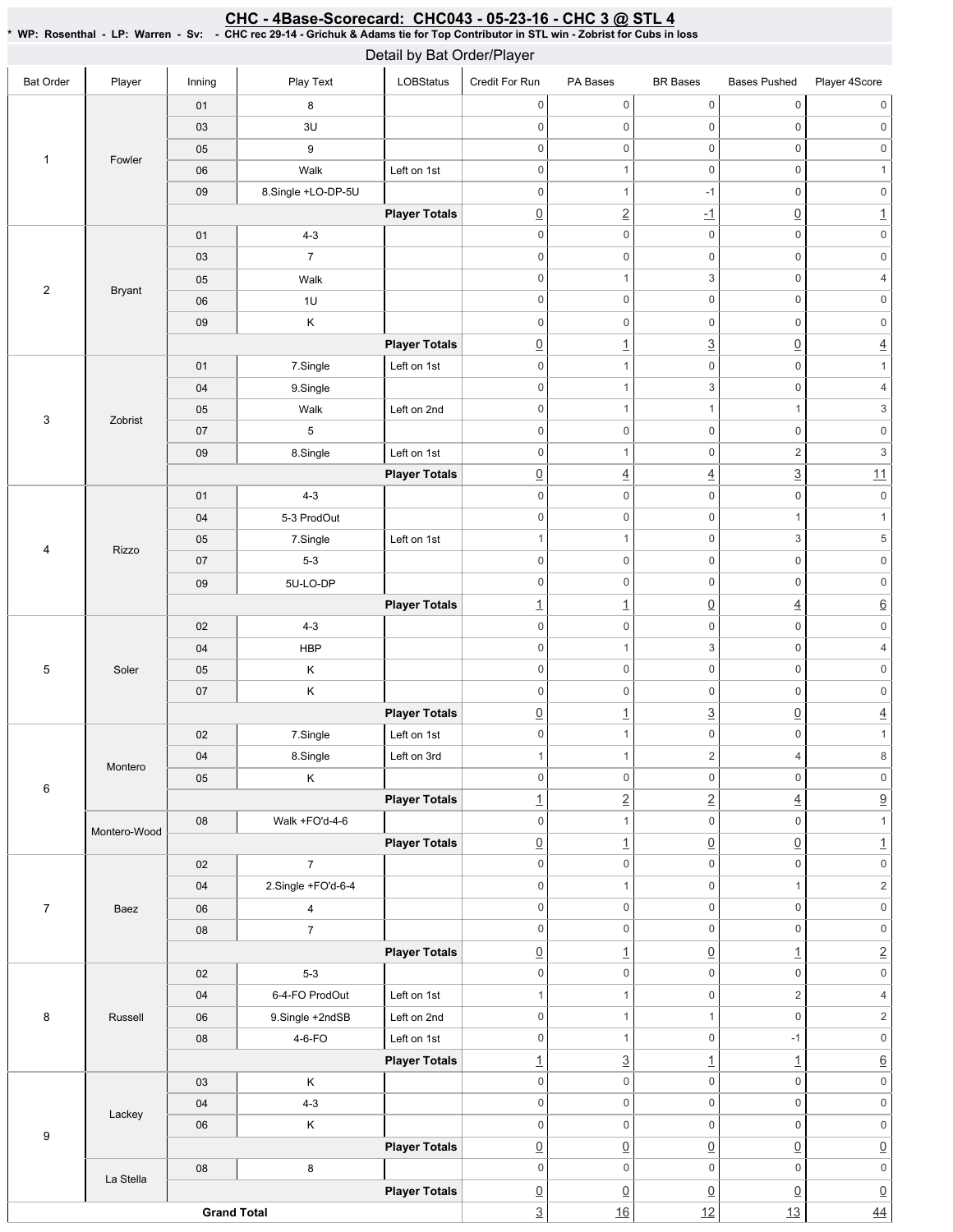| CHC - 4Base-Scorecard: CHC043 - 05-23-16 - CHC 3 @ STL 4                                                                              |
|---------------------------------------------------------------------------------------------------------------------------------------|
| * WP: Rosenthal - LP: Warren - Sv: - CHC rec 29-14 - Grichuk & Adams tie for Top Contributor in STL win - Zobrist for Cubs in loss \, |

| Detail by Bat Order/Player |               |                      |                         |                      |                          |                          |                     |                           |                           |
|----------------------------|---------------|----------------------|-------------------------|----------------------|--------------------------|--------------------------|---------------------|---------------------------|---------------------------|
| <b>Bat Order</b>           | Player        | Inning               | Play Text               | LOBStatus            | Credit For Run           | PA Bases                 | <b>BR</b> Bases     | <b>Bases Pushed</b>       | Player 4Score             |
|                            |               | 01                   | 8                       |                      | $\mathbf 0$              | 0                        | $\mathsf 0$         | $\mathbb O$               | 0                         |
|                            |               | 03                   | 3U                      |                      | $\mathbf 0$              | 0                        | $\mathsf 0$         | $\mathbb O$               | $\mathbb O$               |
|                            |               | 05                   | 9                       |                      | $\mathbf 0$              | $\boldsymbol{0}$         | $\mathbf 0$         | $\mathbb O$               | $\mathsf{O}\xspace$       |
| 1                          | Fowler        | 06                   | Walk                    | Left on 1st          | $\mathbf 0$              | $\mathbf{1}$             | $\mathsf 0$         | $\mathbb O$               | $\mathbf{1}$              |
|                            |               | 09                   | 8.Single +LO-DP-5U      |                      | $\mathsf{O}\xspace$      | $\mathbf{1}$             | $-1$                | $\mathsf{0}$              | $\mathsf{0}$              |
|                            |               |                      |                         | <b>Player Totals</b> | $\underline{0}$          | $\underline{2}$          | $\overline{-1}$     | $\underline{0}$           | $\underline{1}$           |
|                            |               | 01                   | $4 - 3$                 |                      | $\mathbf 0$              | $\mathsf{O}\xspace$      | $\mathsf 0$         | $\mathbb O$               | $\mathsf{O}\xspace$       |
|                            | <b>Bryant</b> | 03                   | $\overline{7}$          |                      | $\mathsf{O}\xspace$      | $\mathsf{O}\xspace$      | $\mathsf 0$         | $\mathbf 0$               | $\mathsf{O}\xspace$       |
|                            |               | 05                   | Walk                    |                      | $\mathbf 0$              | $\mathbf{1}$             | 3                   | $\mathbb O$               | $\overline{4}$            |
| $\overline{c}$             |               | 06                   | 1U                      |                      | $\mathbf 0$              | $\mathsf{O}\xspace$      | $\mathsf 0$         | $\mathbb O$               | $\mathsf{0}$              |
|                            |               | 09                   | $\mathsf K$             |                      | $\mathsf 0$              | $\mathsf{O}\xspace$      | $\mathbf 0$         | $\mathbf 0$               | $\mathsf{O}\xspace$       |
|                            |               |                      |                         | <b>Player Totals</b> | $\underline{0}$          | $\overline{1}$           | $\overline{3}$      | $\underline{0}$           | $\overline{4}$            |
|                            |               | 01                   | 7.Single                | Left on 1st          | $\mathbf 0$              | $\mathbf{1}$             | $\mathsf{O}\xspace$ | $\mathbf 0$               | $\mathbf{1}$              |
| 3                          |               | 04                   | 9.Single                |                      | $\mathsf{O}\xspace$      | $\mathbf{1}$             | 3                   | $\mathbb O$               | $\overline{4}$            |
|                            |               | 05                   | Walk                    | Left on 2nd          | $\mathbf 0$              | $\mathbf{1}$             | $\mathbf{1}$        | $\mathbf{1}$              | $\ensuremath{\mathsf{3}}$ |
|                            | Zobrist       | 07                   | $\sqrt{5}$              |                      | $\mathbf 0$              | $\mathsf{O}\xspace$      | $\mathsf 0$         | $\mathbb O$               | $\mathsf{0}$              |
|                            |               | 09                   | 8.Single                | Left on 1st          | $\mathbf 0$              | $\mathbf{1}$             | $\mathbf 0$         | $\sqrt{2}$                | $\ensuremath{\mathsf{3}}$ |
|                            |               |                      |                         | <b>Player Totals</b> | $\underline{0}$          | $\overline{4}$           | $\underline{4}$     | $\overline{3}$            | 11                        |
|                            |               | 01                   | $4 - 3$                 |                      | $\mathbf 0$              | $\mathsf{O}\xspace$      | $\mathsf 0$         | $\mathbb O$               | $\mathsf{O}\xspace$       |
|                            |               | 04                   | 5-3 ProdOut             |                      | $\mathbf 0$              | $\mathsf{O}\xspace$      | $\mathsf{O}\xspace$ | $\mathbf{1}$              | $\mathbf{1}$              |
|                            |               | 05                   | 7.Single                | Left on 1st          | $\mathbf{1}$             | $\mathbf{1}$             | $\mathsf 0$         | $\ensuremath{\mathsf{3}}$ | 5                         |
| 4                          | Rizzo         | 07                   | $5-3$                   |                      | $\mathsf{O}\xspace$      | $\mathsf{O}\xspace$      | $\mathsf 0$         | $\mathbb O$               | $\mathsf{0}$              |
|                            |               | 09                   | 5U-LO-DP                |                      | $\mathbf 0$              | $\mathsf{O}\xspace$      | $\mathsf 0$         | $\mathbb O$               | $\mathsf{O}\xspace$       |
|                            |               |                      |                         | <b>Player Totals</b> | $\underline{\mathbf{1}}$ | $\underline{\mathbf{1}}$ | $\underline{0}$     | $\underline{4}$           | $\underline{6}$           |
|                            | Soler         | 02                   | $4 - 3$                 |                      | $\mathbf 0$              | 0                        | $\mathsf 0$         | $\mathbb O$               | $\mathsf{0}$              |
|                            |               | 04                   | <b>HBP</b>              |                      | $\mathbf 0$              | $\mathbf{1}$             | 3                   | $\mathbb O$               | $\overline{4}$            |
| 5                          |               | 05                   | Κ                       |                      | $\mathbf 0$              | $\mathsf{O}\xspace$      | $\mathsf 0$         | $\mathbb O$               | $\mathsf{O}\xspace$       |
|                            |               | 07                   | $\sf K$                 |                      | $\boldsymbol{0}$         | $\boldsymbol{0}$         | $\mathbf 0$         | $\mathbb O$               | $\mathsf{0}$              |
|                            |               |                      |                         | <b>Player Totals</b> | $\underline{0}$          | $\overline{1}$           | $\underline{3}$     | $\underline{0}$           | $\overline{4}$            |
|                            |               | 02                   | 7.Single                | Left on 1st          | $\mathsf{O}\xspace$      | $\mathbf{1}$             | $\mathsf 0$         | $\mathsf 0$               | $\mathbf{1}$              |
|                            | Montero       | 04                   | 8.Single                | Left on 3rd          | $\mathbf{1}$             | $\mathbf{1}$             | $\sqrt{2}$          | $\overline{4}$            | 8                         |
|                            |               | 05                   | $\mathsf K$             |                      | $\mathbf 0$              | 0                        | $\mathsf{O}\xspace$ | $\mathbb O$               | $\mathsf{O}\xspace$       |
| 6                          |               |                      |                         | <b>Player Totals</b> | $\underline{\mathbf{1}}$ | $\underline{2}$          | $\overline{2}$      | $\underline{4}$           | $\underline{9}$           |
|                            |               | 08                   | Walk +FO'd-4-6          |                      | $\mathsf{O}\xspace$      | $\mathbf{1}$             | $\mathsf{O}\xspace$ | $\mathsf{O}\xspace$       | $\mathbf{1}$              |
|                            | Montero-Wood  |                      |                         | <b>Player Totals</b> | $\underline{0}$          | $\underline{1}$          | $\underline{0}$     | $\underline{0}$           | $\underline{\mathbf{1}}$  |
|                            |               | 02                   | $\overline{7}$          |                      | $\mathsf{O}\xspace$      | 0                        | $\mathsf 0$         | $\mathsf 0$               | $\mathsf{O}\xspace$       |
|                            |               | 04                   | 2.Single +FO'd-6-4      |                      | $\mathbf 0$              | $\mathbf{1}$             | $\mathsf{O}\xspace$ | $\mathbf{1}$              | $\overline{c}$            |
| $\overline{7}$             | Baez          | 06                   | $\overline{\mathbf{4}}$ |                      | $\mathbf 0$              | 0                        | $\mathsf 0$         | $\mathbb O$               | $\mathsf{O}\xspace$       |
|                            |               | 08                   | $\overline{7}$          |                      | $\mathbf 0$              | 0                        | $\mathsf 0$         | $\mathsf{O}\xspace$       | $\mathsf{O}\xspace$       |
|                            |               |                      |                         | <b>Player Totals</b> | $\underline{0}$          | $\overline{1}$           | $\underline{0}$     | $\overline{1}$            | $\underline{2}$           |
|                            | Russell       | 02                   | $5-3$                   |                      | $\mathsf{O}\xspace$      | 0                        | $\mathsf{O}\xspace$ | $\mathbb O$               | $\mathsf{O}\xspace$       |
| 8                          |               | 04                   | 6-4-FO ProdOut          | Left on 1st          | $\mathbf{1}$             | $\mathbf{1}$             | $\mathsf 0$         | $\sqrt{2}$                | $\overline{4}$            |
|                            |               | 06                   | 9.Single +2ndSB         | Left on 2nd          | $\mathbf 0$              | $\mathbf{1}$             | $\mathbf{1}$        | $\mathbb O$               | $\overline{c}$            |
|                            |               | 08                   | 4-6-FO                  | Left on 1st          | $\mathbf 0$              | $\mathbf{1}$             | $\mathsf{O}\xspace$ | $-1$                      | $\mathsf{0}$              |
|                            |               | <b>Player Totals</b> |                         |                      | $\underline{\mathbf{1}}$ | $\underline{3}$          | $\overline{1}$      | $\overline{1}$            | $\underline{6}$           |
|                            |               | 03                   | Κ                       |                      | $\mathbf 0$              | 0                        | $\mathsf 0$         | $\mathbf 0$               | $\mathsf{0}$              |
|                            | Lackey        | 04                   | $4 - 3$                 |                      | $\mathsf{O}\xspace$      | 0                        | $\mathsf{O}\xspace$ | $\mathbb O$               | $\mathsf{O}\xspace$       |
|                            |               | 06                   | $\mathsf K$             |                      | $\mathbf 0$              | 0                        | $\mathsf{O}\xspace$ | $\mathsf{O}\xspace$       | $\mathsf{O}\xspace$       |
| 9                          |               |                      |                         | <b>Player Totals</b> | $\underline{0}$          | $\underline{0}$          | $\underline{0}$     | $\underline{0}$           | $\underline{0}$           |
|                            | La Stella     | 08                   | 8                       |                      | $\mathbf 0$              | 0                        | $\mathsf 0$         | $\mathsf 0$               | $\mathsf{O}\xspace$       |
|                            |               |                      |                         | <b>Player Totals</b> | $\underline{0}$          | $\underline{0}$          | $\underline{0}$     | $\underline{0}$           | $\underline{0}$           |
| <b>Grand Total</b>         |               |                      |                         |                      | $\overline{3}$           | 16                       | 12                  | 13                        | $\overline{44}$           |